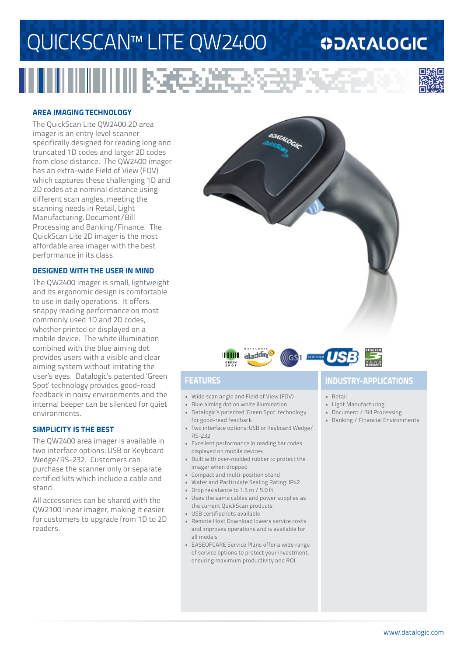## QUICKSCAN™ LITE QW2400

# IIIIIIIIIIIIIIIIIIEEB





#### **AREA IMAGING TECHNOLOGY**

The QuickScan Lite QW2400 2D area imager is an entry level scanner specifically designed for reading long and truncated 1D codes and larger 2D codes from close distance. The QW2400 imager has an extra-wide Field of View (FOV) which captures these challenging 1D and 2D codes at a nominal distance using different scan angles, meeting the scanning needs in Retail, Light Manufacturing, Document/Bill Processing and Banking/Finance. The QuickScan Lite 2D imager is the most affordable area imager with the best performance in its class.

#### **DESIGNED WITH THE USER IN MIND**

The QW2400 imager is small, lightweight and its ergonomic design is comfortable to use in daily operations. It offers snappy reading performance on most commonly used 1D and 2D codes, whether printed or displayed on a mobile device. The white illumination combined with the blue aiming dot provides users with a visible and clear aiming system without irritating the user's eyes. Datalogic's patented 'Green Spot' technology provides good-read feedback in noisy environments and the internal beeper can be silenced for quiet environments.

#### **SIMPLICITY IS THE BEST**

The QW2400 area imager is available in two interface options: USB or Keyboard Wedge/RS-232. Customers can purchase the scanner only or separate certified kits which include a cable and stand.

All accessories can be shared with the QW2100 linear imager, making it easier for customers to upgrade from 1D to 2D readers.





- Wide scan angle and Field of View (FOV)
- Blue aiming dot on white illumination • Datalogic's patented 'Green Spot' technology
- for good-read feedback • Two interface options: USB or Keyboard Wedge/
- RS-232
- Excellent performance in reading bar codes displayed on mobile devices
- Built with over-molded rubber to protect the imager when dropped
- Compact and multi-position stand
- Water and Particulate Sealing Rating: IP42
- Drop resistance to 1.5 m / 5.0 ft
- Uses the same cables and power supplies as the current QuickScan products
- USB certified kits available
- Remote Host Download lowers service costs and improves operations and is available for all models
- EASEOFCARE Service Plans offer a wide range of service options to protect your investment, ensuring maximum productivity and ROI

### **FEATURES INDUSTRY-APPLICATIONS**

- Retail
- Light Manufacturing
- Document / Bill Processing
- Banking / Financial Environments